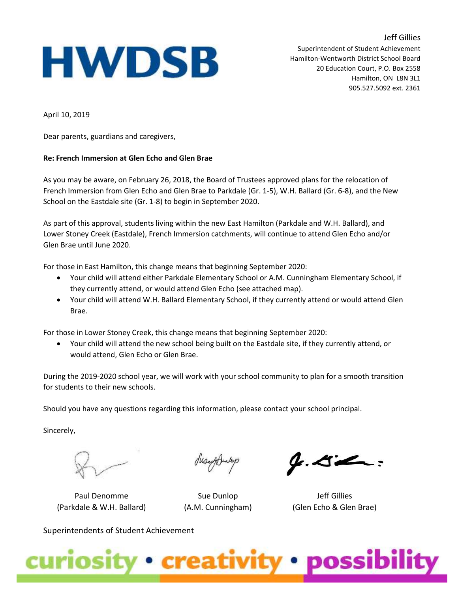## **HWDSB**

Jeff Gillies Superintendent of Student Achievement Hamilton-Wentworth District School Board 20 Education Court, P.O. Box 2558 Hamilton, ON L8N 3L1 905.527.5092 ext. 2361

April 10, 2019

Dear parents, guardians and caregivers,

## **Re: French Immersion at Glen Echo and Glen Brae**

As you may be aware, on February 26, 2018, the Board of Trustees approved plans for the relocation of French Immersion from Glen Echo and Glen Brae to Parkdale (Gr. 1-5), W.H. Ballard (Gr. 6-8), and the New School on the Eastdale site (Gr. 1-8) to begin in September 2020.

As part of this approval, students living within the new East Hamilton (Parkdale and W.H. Ballard), and Lower Stoney Creek (Eastdale), French Immersion catchments, will continue to attend Glen Echo and/or Glen Brae until June 2020.

For those in East Hamilton, this change means that beginning September 2020:

- Your child will attend either Parkdale Elementary School or A.M. Cunningham Elementary School, if they currently attend, or would attend Glen Echo (see attached map).
- Your child will attend W.H. Ballard Elementary School, if they currently attend or would attend Glen Brae.

For those in Lower Stoney Creek, this change means that beginning September 2020:

• Your child will attend the new school being built on the Eastdale site, if they currently attend, or would attend, Glen Echo or Glen Brae.

During the 2019-2020 school year, we will work with your school community to plan for a smooth transition for students to their new schools.

Should you have any questions regarding this information, please contact your school principal.

Sincerely,

Paul Denomme (Parkdale & W.H. Ballard)

Susaffranksp

Sue Dunlop (A.M. Cunningham)

 $\mathcal{G}.\mathcal{L}\mathcal{L}$ :

Jeff Gillies (Glen Echo & Glen Brae)

Superintendents of Student Achievement